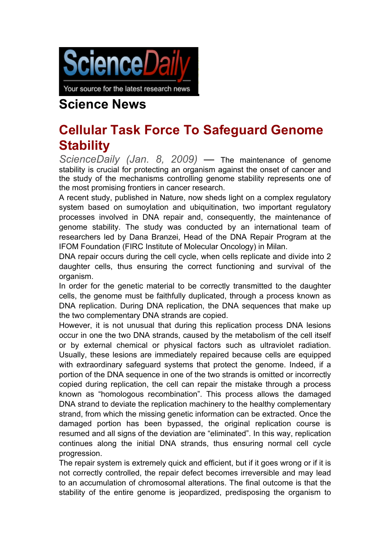

Your source for the latest research news

## **Science News**

## **Cellular Task Force To Safeguard Genome Stability**

*ScienceDaily (Jan. 8, 2009)* — The maintenance of genome stability is crucial for protecting an organism against the onset of cancer and the study of the mechanisms controlling genome stability represents one of the most promising frontiers in cancer research.

A recent study, published in Nature, now sheds light on a complex regulatory system based on sumoylation and ubiquitination, two important regulatory processes involved in DNA repair and, consequently, the maintenance of genome stability. The study was conducted by an international team of researchers led by Dana Branzei, Head of the DNA Repair Program at the IFOM Foundation (FIRC Institute of Molecular Oncology) in Milan.

DNA repair occurs during the cell cycle, when cells replicate and divide into 2 daughter cells, thus ensuring the correct functioning and survival of the organism.

In order for the genetic material to be correctly transmitted to the daughter cells, the genome must be faithfully duplicated, through a process known as DNA replication. During DNA replication, the DNA sequences that make up the two complementary DNA strands are copied.

However, it is not unusual that during this replication process DNA lesions occur in one the two DNA strands, caused by the metabolism of the cell itself or by external chemical or physical factors such as ultraviolet radiation. Usually, these lesions are immediately repaired because cells are equipped with extraordinary safeguard systems that protect the genome. Indeed, if a portion of the DNA sequence in one of the two strands is omitted or incorrectly copied during replication, the cell can repair the mistake through a process known as "homologous recombination". This process allows the damaged DNA strand to deviate the replication machinery to the healthy complementary strand, from which the missing genetic information can be extracted. Once the damaged portion has been bypassed, the original replication course is resumed and all signs of the deviation are "eliminated". In this way, replication continues along the initial DNA strands, thus ensuring normal cell cycle progression.

The repair system is extremely quick and efficient, but if it goes wrong or if it is not correctly controlled, the repair defect becomes irreversible and may lead to an accumulation of chromosomal alterations. The final outcome is that the stability of the entire genome is jeopardized, predisposing the organism to